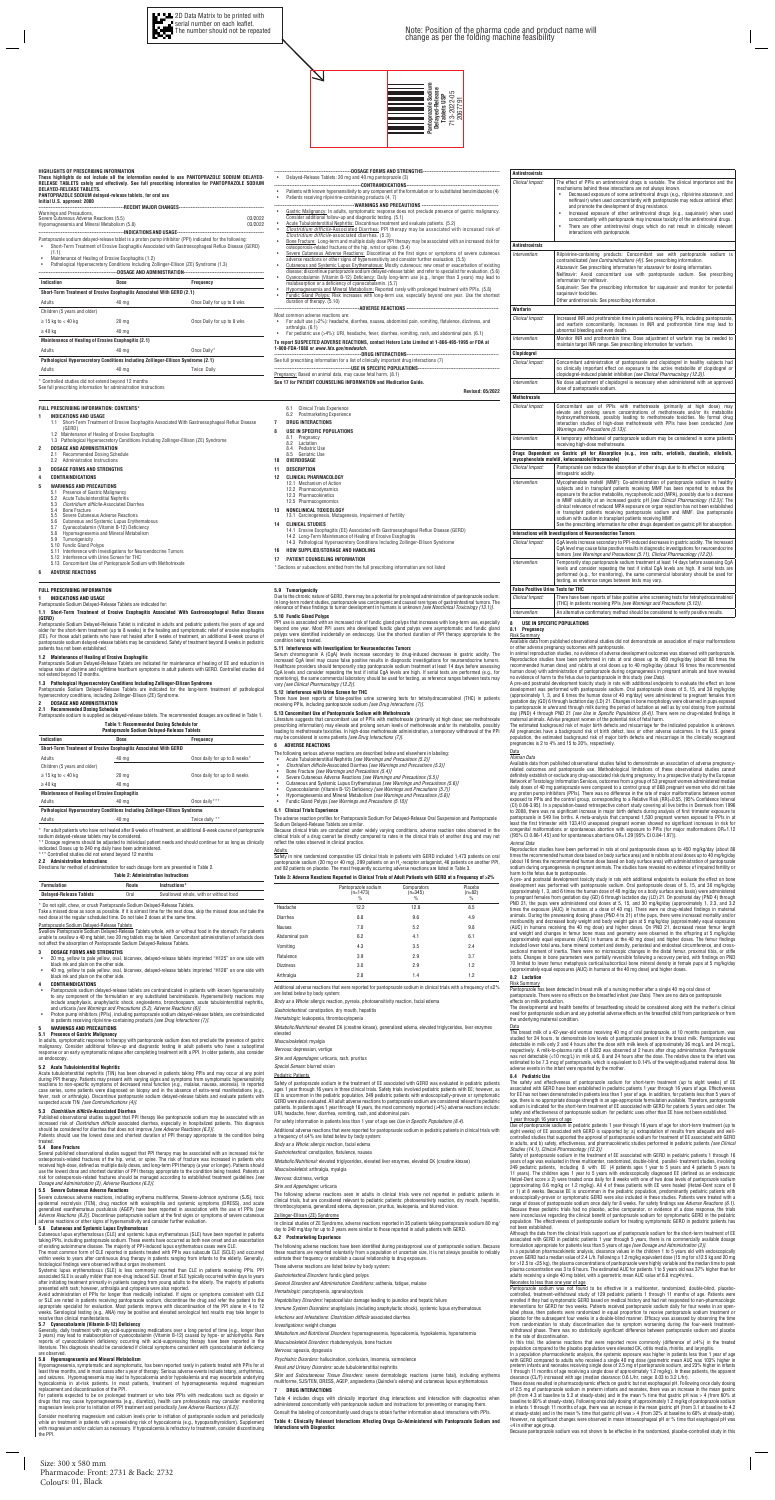**HIGHLIGHTS OF PRESCRIBING INFORMATION**

Hypomagnesemia and Mineral Metabolism (5.8)

**These highlights do not include all the information needed to use PANTOPRAZOLE SODIUM DELAYED-RELEASE TABLETS safely and effectively. See full prescribing information for PANTOPRAZOLE SODIUM** 

-RECENT MAJOR CHANGES

**DELAYED-RELEASE TABLETS.** 

**PANTOPRAZOLE SODIUM delayed-release tablets, for oral use**

**Initial U.S. approval: 2000** 

--INDICATIONS AND USAGE-Pantoprazole sodium delayed-release tablet is a proton pump inhibitor (PPI) indicated for the following • Short-Term Treatment of Erosive Esophagitis Associated with Gastroesophageal Reflux Disease (GERD)

---DOSAGE AND ADMINISTRATION-

 $\geq$  15 kg to < 40 kg 20 mg 20 mg  $\geq$  20 mg Once Daily for up to 8 wks

Warnings and Precautions,

Severe Cutaneous Adverse Reactions (5.5) 03/2022

 $\geq 40$  kg 40 mg **Maintenance of Healing of Erosive Esophagitis (2.1)**

\* Controlled studies did not extend beyond 12 months See full prescribing information for administration instructions

• Maintenance of Healing of Erosive Esophagitis (1.2) • Pathological Hypersecretory Conditions Including Zollinger-Ellison (ZE) Syndrome (1.3)

**Indication Dose Frequency Short-Term Treatment of Erosive Esophagitis Associated With GERD (2.1)**

Adults **40 mg** Adults **Conce** Daily\* **Pathological Hypersecretory Conditions Including Zollinger-Ellison Syndrome (2.1)** Adults **40 mg** Adults **10** Magnus 40 mg

Children (5 years and older)

 $\bm{\nabla}$ 

**FULL PRESCRIBING INFORMATION: CONTENTS\* 1 INDICATIONS AND USAGE**

 $(1.1)$ <br>Main

**5 WARNINGS AND PRECAUTIONS** 5.1 Presence of Gastric Malignancy<br>5.2 Acute Tubulointerstitial Nephrit **Acute Tubulointerstitial Nephritis** 

Severe Cutaneous Adverse Reactions

#### **Table 1: Recommended Dosing Schedule for Pantoprazole Sodium Delayed-Release Tablets**

1.1 Short-Term Treatment of Erosive Esophagitis Associated With Gastroesophageal Reflux Disease

(GERD)

<u>Pantoprazole Sodium Delayed-Release Tablets</u><br>Swallow Pantoprazole Sodium Delayed-Release Tablets whole, with or without food in the stomach. For patients unable to swallow a 40 mg tablet, two 20 mg tablets may be taken. Concomitant administration of antacids does not affect the absorption of Pantoprazole Sodium Delayed-Release Tablets.

1.2 Maintenance of Healing of Erosive Esophagitis

1.3 Pathological Hypersecretory Conditions Including Zollinger-Ellison (ZE) Syndrome

40 mg **Once Daily for up to 8 wks** 

- 20 mg, yellow to pale yellow, oval, biconvex, delayed-release tablets imprinted "H125" on one side with<br> black ink and plain on the other side.<br>• 40 mg, yellow to pale yellow, oval, biconvex, delayed-release t
- black ink and plain on the other side.

 **DOSAGE AND ADMINISTRATION** 2.1 Recommended Dosing Schedule 2.2 Administration Instructions **DOSAGE FORMS AND STRENGTHS CONTRAINDICATIONS** 

- 
- 5.6 Cutaneous and Systemic Lupus Erythematosus 5.7 Cyanocobalamin (Vitamin B-12) Deficiency
- 5.8 Hypomagnesemia and Mineral Metabolism
- 
- 5.9 Tumorigenicity 5.10 Fundic Gland Polyps
- 
- 5.11 Interference with Investigations for Neuroendocrine Tumors 5.12 Interference with Urine Screen for THC 5.13 Concomitant Use of Pantoprazole Sodium with Methotrexate
- **6 ADVERSE REACTIONS**

Several published observational studies suggest that PPI therapy may be associated with an increased risk for<br>osteoporosis-related fractures of the hip, wrist, or spine. The risk of fracture was increased in patients who<br>r use the lowest dose and shortest duration of PPI therapy appropriate to the condition being treated. Patients at<br>risk for osteoporosis-related fractures should be managed according to established treatment guidelines *[see Dosage and Administration (2), Adverse Reactions (6.2)]*.



Severe cutaneous adverse reactions, including erythema multiforme, Stevens-Johnson syndrome (SJS), toxic epidermal necrolysis (TEN), drug reaction with eosinophilia and systemic symptoms (DRESS), and acute<br>generalized exanthematous pustulosis (AGEP) have been reported in association with the use of PPIs *[see*<br>Adverse Reactio

## **FULL PRESCRIBING INFORMATION**

**1 INDICATIONS AND USAGE**  Pantoprazole Sodium Delayed-Release Tablets are indicated for:

### **1.1 Short-Term Treatment of Erosive Esophagitis Associated With Gastroesophageal Reflux Disease (GERD)**

Pantoprazole Sodium Delayed-Release Tablet is indicated in adults and pediatric patients five years of age and older for the short-term treatment (up to 8 weeks) in the healing and symptomatic relief of erosive esophagitis<br>(EE). For those adult patients who have not healed after 8 weeks of treatment, an additional 8-week course of<br> patients has not been established.

**1.2 Maintenance of Healing of Erosive Esophagitis**  Pantoprazole Sodium Delayed-Release Tablets are indicated for maintenance of healing of EE and reduction in relapse rates of daytime and nighttime heartburn symptoms in adult patients with GERD. Controlled studies did not extend beyond 12 months.

Avoid administration of PPIs for longer than medically indicated. If signs or symptoms consistent with CLE<br>or SLE are noted in patients receiving pantoprazole sodium, discontinue the drug and refer the patient to the<br>appro weeks. Serological testing (e.g., ANA) may be positive and elevated serological test results may take longer to

Generally, daily treatment with any acid-suppressing medications over a long period of time (e.g., longer than<br>3 years) may lead to malabsorption of cyanocobalamin (Vitamin B-12) caused by hypo- or achlorhydria. Rare<br>repor literature. This diagnosis should be considered if clinical symptoms consistent with cyanocobalamin deficiency

**1.3 Pathological Hypersecretory Conditions Including Zollinger-Ellison Syndrome**  Pantoprazole Sodium Delayed-Release Tablets are indicated for the long-term treatment of pathological hypersecretory conditions, including Zollinger-Ellison (ZE) Syndrome.

## **2 DOSAGE AND ADMINISTRATION**

**2.1 Recommended Dosing Schedule**  Pantoprazole sodium is supplied as delayed-release tablets. The recommended dosages are outlined in Table 1.

Hypomagnesemia, symptomatic and asymptomatic, has been reported rarely in patients treated with PPIs for at<br>least three months, and in most cases after a year of therapy. Serious adverse events include tetany, arrhythmias, hypocalcemia in at-risk patients. In most patients, treatment of hypomagnesemia required magnesium replacement and discontinuation of the PPI.

For patients expected to be on prolonged treatment or who take PPIs with medications such as digoxin or drugs that may cause hypomagnesemia (e.g., diuretics), health care professionals may consider monitoring<br>magnesium levels prior to initiation of PPI treatment and periodically *[see Adverse Reactions (6.2)].* 

Consider monitoring magnesium and calcium levels prior to initiation of pantoprazole sodium and periodically<br>while on treatment in patients with a preexisting risk of hypocalcemia (e.g., hypoparathyroidism), Supplement while on treatment in patients with a preexisting risk of hypocalcemia (e.g., hypoparathyroidism). Supplement<br>with magnesium and/or calcium as necessary. If hypocalcemia is refractory to treatment, consider discontinuing<br>t

| Indication                                                                  | Dose             | <b>Frequency</b>              |  |
|-----------------------------------------------------------------------------|------------------|-------------------------------|--|
| Short-Term Treatment of Erosive Esophagitis Associated With GERD            |                  |                               |  |
| Adults                                                                      | 40 mg            | Once daily for up to 8 weeks* |  |
| Children (5 years and older)                                                |                  |                               |  |
| $\geq$ 15 kg to < 40 kg                                                     | 20 <sub>mg</sub> | Once daily for up to 8 weeks  |  |
| $\geq 40$ kg                                                                | 40 mg            |                               |  |
| <b>Maintenance of Healing of Erosive Esophagitis</b>                        |                  |                               |  |
| Adults                                                                      | 40 ma            | Once daily***                 |  |
| Pathological Hypersecretory Conditions Including Zollinger-Ellison Syndrome |                  |                               |  |
| Adults                                                                      | 40 ma            | Twice daily **                |  |

The estimated background risk of major birth defects and miscarriage for the indicated population is unknown.<br>All pregnancies have a background risk of birth defect, loss or other adverse outcomes. In the U.S. general<br>popu pregnancies is 2 to 4% and 15 to 20%, respectively. **Data** 

Due to the chronic nature of GERD, there may be a potential for prolonged administration of pant In long-term rodent studies, pantoprazole was carcinogenic and caused rare types of gastrointestinal tu relevance of these findings to tumor development in humans is unknown *[see Nonclinical Toxicology (13.1)].*  **5.10 Fundic Gland Polyps** 

PPI use is associated with an increased risk of fundic gland polyps that increases with long-term use, especially beyond one year. Most PPI users who developed fundic gland polyps were asymptomatic and fundic gland polyps were identified incidentally on endoscopy. Use the shortest duration of PPI therapy appropriate to the condition being treated.

### **2.2 Administration Instructions**

Directions for method of administration for each dosage form are presented in Table 2.

|  | <b>Table 2: Administration Instructions</b> |  |
|--|---------------------------------------------|--|
|--|---------------------------------------------|--|

| Formulation                    | Route | Instructions*                         |
|--------------------------------|-------|---------------------------------------|
| <b>Delayed-Release Tablets</b> | Oral  | Swallowed whole, with or without food |

\* Do not split, chew, or crush Pantoprazole Sodium Delayed-Release Tablets.

Take a missed dose as soon as possible. If it is almost time for the next dose, skip the missed dose and take the next dose at the regular scheduled time. Do not take 2 doses at the same time.

**5.13 Concomitant Use of Pantoprazole Sodium with Methotrexate**<br>Literature suggests that concomitant use of PPIs with methotrexate (primarily at high dose; see methotrexate<br>prescribing information) may elevate and prolong leading to methotrexate toxicities. In high-dose methotrexate administration, a temporary withdrawal of the PPI may be considered in some patients *[see Drug Interactions (7)].*

- The following serious adverse reactions are described below and elsewhere in labeling:
- Acute Tubulointerstitial Nephritis *[see Warnings and Precautions (5.2)]*
- *Clostridium difficile-Associated Diarrhea <i>[see Warnings and Precaution* 
	- -

Clostridium difficile-Associated Diarrhea 5.4 Bone Fracture<br>5.5 Severe Cutaner

## **3 DOSAGE FORMS AND STRENGTHS**

#### **4 CONTRAINDICATIONS**

- Pantoprazole sodium delayed-release tablets are contraindicated in patients with known hypersensitivity to any component of the formulation or any substituted benzimidazole. Hypersensitivity reactions may include anaphylaxis, anaphylactic shock, angioedema, bronchospasm, acute tubulointerstitial nephritis,<br>and urticaria *[see Warnings and Precautions (5.2), Adverse Reactions (6)].*<br>• Proton pump inhibitors (PPIs), includ
- in patients receiving rilpivirine-containing products *[see Drug Interactions (7)]*.

### **5 WARNINGS AND PRECAUTIONS 5.1 Presence of Gastric Malignancy**

In adults, symptomatic response to therapy with pantoprazole sodium does not preclude the presence of gastric malignancy. Consider additional follow-up and diagnostic testing in adult patients who have a suboptimal response or an early symptomatic relapse after completing treatment with a PPI. In older patients, also consider an endoscopy.

**5.2 Acute Tubulointerstitial Nephritis**  Acute tubulointerstitial nephritis (TIN) has been observed in patients taking PPIs and may occur at any point during PPI therapy. Patients may present with varying signs and symptoms from symptomatic hypersensitivity reactions to non-specific symptoms of decreased renal function (e.g., malaise, nausea, anorexia). In reported case series, some patients were diagnosed on biopsy and in the absence of extra-renal manifestations (e.g., fever, rash or arthralgia). Discontinue pantoprazole sodium delayed-release tablets and evaluate patients with suspected acute TIN *[see Contraindications (4)].*

> The following adverse reactions have been identified during postapproval use of pantoprazole sodium. Becaus these reactions are reported voluntarily from a population of uncertain size, it is not always possible to reliably estimate their frequency or establish a causal relationship to drug exposure.

## **5.3 Clostridium difficile-Associated Diarrhea**

Published observational studies suggest that PPI therapy like pantoprazole sodium may be associated with an<br>increased risk of *Clostridium difficile* associated diarrhea, especially in hospitalized patients. This diagnosis

### Table 4 includes drugs with clinically important drug interactions and interaction with diagnostics when istered concomitantly with pantoprazole sodium and instructions for preventing or managing them.  $\;$

Patients should use the lowest dose and shortest duration of PPI therapy appropriate to the condition being treated.

### **5.4 Bone Fracture**

### **5.5 Severe Cutaneous Adverse Reactions**

**5.6 Cutaneous and Systemic Lupus Erythematosus** Cutaneous lupus erythematosus (CLE) and systemic lupus erythematosus (SLE) have been reported in patients taking PPIs, including pantoprazole sodium. These events have occurred as both new onset and an exacerbation of existing autoimmune disease. The majority of PPI-induced lupus erythematous cases were CLE. The most common form of CLE reported in patients treated with PPIs was subacute CLE (SCLE) and occurred

within weeks to years after continuous drug therapy in patients ranging from infants to the elderly. Generally, histological findings were observed without organ involvement.

Systemic lupus erythematosus (SLE) is less commonly reported than CLE in patients receiving PPIs. PPI associated SLE is usually milder than non-drug induced SLE. Onset of SLE typically occurred within days to years after initiating treatment primarily in patients ranging from young adults to the elderly. The majority of patients presented with rash; however, arthralgia and cytopenia were also reported.

Available data from published observational studies did not demonstrate an association of major malformations or other adverse pregnancy outcomes with pantoprazole. In animal reproduction studies, no evidence of adverse development outcomes was observed with pantoprazole. Reproduction studies have been performed in rats at oral doses up to 450 mg/kg/day (about 88 times the recommended human dose) and rabbits at oral doses up to 40 mg/kg/day (about 16 times the recommended human dose) with administration of pantoprazole during organogenesis in pregnant animals and have revealed no evidence of harm to the fetus due to pantoprazole in this study *(see Data)*. A pre-and postnatal development toxicity study in rats with additional endpoints to evaluate the effect on bone development was performed with pantoprazole sodium. Oral pantoprazole doses of 5, 15, and 30 mg/kg/day (approximately 1, 3, and 6 times the human dose of 40 mg/day) were administered to pregnant females from gestation day (GD) 6 through lactation day (LD) 21. Changes in bone morphology were observed in pups exposed to pantoprazole *in utero* and through milk during the period of lactation as well as by oral dosing from postnatal day (PND) 4 through PND 21 *[see Use in Specific Populations (8.4)].* There were no drug-related findings in<br>maternal animals. Advise pregnant women of the potential risk of fetal harm.

# resolve than clinical manifestations. **5.7 Cyanocobalamin (Vitamin B-12) Deficiency**

# are observed. **5.8 Hypomagnesemia and Mineral Metabolism**

|                                                                                                                                                                                                                                                                                                                                                                                                                                                                                                                                                                                                                                                                                                                                                                                                                                         | <b>Antiretrovirals</b>                    |                                                                                                                                                                                                                                                                                                                                                                                                                                                                                                                                                                                                  |
|-----------------------------------------------------------------------------------------------------------------------------------------------------------------------------------------------------------------------------------------------------------------------------------------------------------------------------------------------------------------------------------------------------------------------------------------------------------------------------------------------------------------------------------------------------------------------------------------------------------------------------------------------------------------------------------------------------------------------------------------------------------------------------------------------------------------------------------------|-------------------------------------------|--------------------------------------------------------------------------------------------------------------------------------------------------------------------------------------------------------------------------------------------------------------------------------------------------------------------------------------------------------------------------------------------------------------------------------------------------------------------------------------------------------------------------------------------------------------------------------------------------|
| Delayed-Release Tablets: 20 mg and 40 mg pantoprazole (3)<br>Patients with known hypersensitivity to any component of the formulation or to substituted benzimidazoles (4)<br>Patients receiving rilpivirine-containing products (4, 7)<br>Gastric Malignancy: In adults, symptomatic response does not preclude presence of gastric malignancy.<br>Consider additional follow-up and diagnostic testing. (5.1)                                                                                                                                                                                                                                                                                                                                                                                                                         | Clinical Impact:                          | The effect of PPIs on antiretroviral drugs is variable. The clinical importance and the<br>mechanisms behind these interactions are not always known.<br>Decreased exposure of some antiretroviral drugs (e.g., rilpivirine atazanavir, and<br>nelfinavir) when used concomitantly with pantoprazole may reduce antiviral effect<br>and promote the development of drug resistance.<br>Increased exposure of other antiretroviral drugs (e.g., saquinavir) when used<br>concomitantly with pantoprazole may increase toxicity of the antiretroviral drugs.                                       |
| Acute Tubulointerstitial Nephritis: Discontinue treatment and evaluate patients. (5.2)<br>Clostridium difficile-Associated Diarrhea: PPI therapy may be associated with increased risk of<br>Clostridium difficile-associated diarrhea. (5.3)                                                                                                                                                                                                                                                                                                                                                                                                                                                                                                                                                                                           |                                           | There are other antiretroviral drugs which do not result in clinically relevant<br>interactions with pantoprazole.                                                                                                                                                                                                                                                                                                                                                                                                                                                                               |
| Bone Fracture: Long-term and multiple daily dose PPI therapy may be associated with an increased risk for<br>osteoporosis-related fractures of the hip, wrist or spine. (5.4)                                                                                                                                                                                                                                                                                                                                                                                                                                                                                                                                                                                                                                                           | <b>Antiretrovirals</b>                    |                                                                                                                                                                                                                                                                                                                                                                                                                                                                                                                                                                                                  |
| Severe Cutaneous Adverse Reactions: Discontinue at the first signs or symptoms of severe cutaneous<br>adverse reactions or other signs of hypersensitivity and consider further evaluation. (5.5)<br>Cutaneous and Systemic Lupus Erythematosus: Mostly cutaneous; new onset or exacerbation of existing<br>disease; discontinue pantoprazole sodium delayed-release tablet and refer to specialist for evaluation. (5.6)<br>Cyanocobalamin (Vitamin B-12) Deficiency: Daily long-term use (e.g., longer than 3 years) may lead to<br>malabsorption or a deficiency of cyanocobalamin. (5.7)<br>Hypomagnesemia and Mineral Metabolism: Reported rarely with prolonged treatment with PPIs. (5.8)<br>Fundic Gland Polyps; Risk increases with long-term use, especially beyond one year. Use the shortest<br>duration of therapy. (5.10) | Intervention:                             | Rilpivirine-containing products: Concomitant use with pantoprazole sodium is<br>contraindicated [see Contraindications (4)]. See prescribing information.<br>Atazanavir: See prescribing information for atazanavir for dosing information.<br>Nelfinavir: Avoid concomitant use with pantoprazole sodium. See prescribing<br>information for nelfinavir.<br>Saquinavir: See the prescribing information for saquinavir and monitor for potential<br>saquinavir toxicities.<br>Other antiretrovirals: See prescribing information.                                                               |
|                                                                                                                                                                                                                                                                                                                                                                                                                                                                                                                                                                                                                                                                                                                                                                                                                                         | Warfarin                                  |                                                                                                                                                                                                                                                                                                                                                                                                                                                                                                                                                                                                  |
| Most common adverse reactions are:<br>For adult use (>2%): headache, diarrhea, nausea, abdominal pain, vomiting, flatulence, dizziness, and<br>arthralgia. (6.1)<br>For pediatric use (>4%): URI, headache, fever, diarrhea, vomiting, rash, and abdominal pain. (6.1)                                                                                                                                                                                                                                                                                                                                                                                                                                                                                                                                                                  | Clinical Impact:                          | Increased INR and prothrombin time in patients receiving PPIs, including pantoprazole,<br>and warfarin concomitantly. Increases in INR and prothrombin time may lead to<br>abnormal bleeding and even death.                                                                                                                                                                                                                                                                                                                                                                                     |
| To report SUSPECTED ADVERSE REACTIONS, contact Hetero Labs Limited at 1-866-495-1995 or FDA at<br>1-800-FDA-1088 or www.fda.gov/medwatch.                                                                                                                                                                                                                                                                                                                                                                                                                                                                                                                                                                                                                                                                                               | Intervention:                             | Monitor INR and prothrombin time. Dose adjustment of warfarin may be needed to<br>maintain target INR range. See prescribing information for warfarin.                                                                                                                                                                                                                                                                                                                                                                                                                                           |
|                                                                                                                                                                                                                                                                                                                                                                                                                                                                                                                                                                                                                                                                                                                                                                                                                                         | Clopidogrel                               |                                                                                                                                                                                                                                                                                                                                                                                                                                                                                                                                                                                                  |
| See full prescribing information for a list of clinically important drug interactions (7)<br>Pregnancy: Based on animal data, may cause fetal harm. (8.1)                                                                                                                                                                                                                                                                                                                                                                                                                                                                                                                                                                                                                                                                               | Clinical Impact:                          | Concomitant administration of pantoprazole and clopidogrel in healthy subjects had<br>no clinically important effect on exposure to the active metabolite of clopidogrel or<br>clopidogrel-induced platelet inhibition [see Clinical Pharmacology (12.3)].                                                                                                                                                                                                                                                                                                                                       |
| See 17 for PATIENT COUNSELING INFORMATION and Medication Guide.<br>Revised: 05/2022                                                                                                                                                                                                                                                                                                                                                                                                                                                                                                                                                                                                                                                                                                                                                     | Intervention:                             | No dose adjustment of clopidogrel is necessary when administered with an approved<br>dose of pantoprazole sodium.                                                                                                                                                                                                                                                                                                                                                                                                                                                                                |
|                                                                                                                                                                                                                                                                                                                                                                                                                                                                                                                                                                                                                                                                                                                                                                                                                                         | <b>Methotrexate</b>                       |                                                                                                                                                                                                                                                                                                                                                                                                                                                                                                                                                                                                  |
| 6.1 Clinical Trials Experience<br>6.2 Postmarketing Experience<br><b>DRUG INTERACTIONS</b><br>7<br><b>USE IN SPECIFIC POPULATIONS</b>                                                                                                                                                                                                                                                                                                                                                                                                                                                                                                                                                                                                                                                                                                   | Clinical Impact:                          | Concomitant use of PPIs with methotrexate (primarily at high dose) may<br>elevate and prolong serum concentrations of methotrexate and/or its metabolite<br>hydroxymethotrexate, possibly leading to methotrexate toxicities. No formal drug<br>interaction studies of high-dose methotrexate with PPIs have been conducted [see<br>Warnings and Precautions (5.13)].                                                                                                                                                                                                                            |
| Pregnancy<br>8.1<br>Lactation<br>8.2<br>Pediatric Use<br>8.4                                                                                                                                                                                                                                                                                                                                                                                                                                                                                                                                                                                                                                                                                                                                                                            | Intervention:                             | A temporary withdrawal of pantoprazole sodium may be considered in some patients<br>receiving high-dose methotrexate.                                                                                                                                                                                                                                                                                                                                                                                                                                                                            |
| 8.5 Geriatric Use<br>10<br>OVERDOSAGE                                                                                                                                                                                                                                                                                                                                                                                                                                                                                                                                                                                                                                                                                                                                                                                                   |                                           | Drugs Dependent on Gastric pH for Absorption (e.g., iron salts, erlotinib, dasatinib, nilotinib,<br>mycophenolate mofetil, ketoconazole/itraconazole)                                                                                                                                                                                                                                                                                                                                                                                                                                            |
| <b>DESCRIPTION</b><br>11<br><b>CLINICAL PHARMACOLOGY</b><br>12                                                                                                                                                                                                                                                                                                                                                                                                                                                                                                                                                                                                                                                                                                                                                                          | Clinical Impact:                          | Pantoprazole can reduce the absorption of other drugs due to its effect on reducing<br>intragastric acidity.                                                                                                                                                                                                                                                                                                                                                                                                                                                                                     |
| 12.1 Mechanism of Action<br>12.2 Pharmacodynamics<br>12.3 Pharmacokinetics<br>12.5 Pharmacogenomics<br>NONCLINICAL TOXICOLOGY<br>13<br>13.1 Carcinogenesis, Mutagenesis, Impairment of Fertility                                                                                                                                                                                                                                                                                                                                                                                                                                                                                                                                                                                                                                        | Intervention:                             | Mycophenolate mofetil (MMF): Co-administration of pantoprazole sodium in healthy<br>subjects and in transplant patients receiving MMF has been reported to reduce the<br>exposure to the active metabolite, mycophenolic acid (MPA), possibly due to a decrease<br>in MMF solubility at an increased gastric pH [see Clinical Pharmacology (12.3)]. The<br>clinical relevance of reduced MPA exposure on organ rejection has not been established<br>in transplant patients receiving pantoprazole sodium and MMF. Use pantoprazole<br>sodium with caution in transplant patients receiving MMF. |
| <b>CLINICAL STUDIES</b><br>14<br>14.1 Erosive Esophagitis (EE) Associated with Gastroesophageal Reflux Disease (GERD)                                                                                                                                                                                                                                                                                                                                                                                                                                                                                                                                                                                                                                                                                                                   |                                           | See the prescribing information for other drugs dependent on gastric pH for absorption.                                                                                                                                                                                                                                                                                                                                                                                                                                                                                                          |
| 14.2 Long-Term Maintenance of Healing of Erosive Esophagitis                                                                                                                                                                                                                                                                                                                                                                                                                                                                                                                                                                                                                                                                                                                                                                            |                                           | Interactions with Investigations of Neuroendocrine Tumors                                                                                                                                                                                                                                                                                                                                                                                                                                                                                                                                        |
| 14.3 Pathological Hypersecretory Conditions Including Zollinger-Ellison Syndrome<br>HOW SUPPLIED/STORAGE AND HANDLING<br>16                                                                                                                                                                                                                                                                                                                                                                                                                                                                                                                                                                                                                                                                                                             | Clinical Impact:                          | CgA levels increase secondary to PPI-induced decreases in gastric acidity. The increased<br>CgA level may cause false positive results in diagnostic investigations for neuroendocrine<br>tumors [see Warnings and Precautions (5.11), Clinical Pharmacology (12.2)].                                                                                                                                                                                                                                                                                                                            |
| PATIENT COUNSELING INFORMATION<br>17                                                                                                                                                                                                                                                                                                                                                                                                                                                                                                                                                                                                                                                                                                                                                                                                    | Intervention:                             | Temporarily stop pantoprazole sodium treatment at least 14 days before assessing CgA                                                                                                                                                                                                                                                                                                                                                                                                                                                                                                             |
| * Sections or subsections omitted from the full prescribing information are not listed                                                                                                                                                                                                                                                                                                                                                                                                                                                                                                                                                                                                                                                                                                                                                  |                                           | levels and consider repeating the test if initial CgA levels are high. If serial tests are<br>performed (e.g., for monitoring), the same commercial laboratory should be used for<br>testing, as reference ranges between tests may vary.                                                                                                                                                                                                                                                                                                                                                        |
| 5.9 Tumorigenicity                                                                                                                                                                                                                                                                                                                                                                                                                                                                                                                                                                                                                                                                                                                                                                                                                      | <b>False Positive Urine Tests for THC</b> |                                                                                                                                                                                                                                                                                                                                                                                                                                                                                                                                                                                                  |
| Due to the chronic nature of GERD, there may be a potential for prolonged administration of pantoprazole sodium.<br>In long-term rodent studies, pantoprazole was carcinogenic and caused rare types of gastrointestinal tumors. The                                                                                                                                                                                                                                                                                                                                                                                                                                                                                                                                                                                                    | Clinical Impact:                          | There have been reports of false positive urine screening tests for tetrahydrocannabinol<br>(THC) in patients receiving PPIs [see Warnings and Precautions (5.12)].                                                                                                                                                                                                                                                                                                                                                                                                                              |

Reproduction studies have been performed in rats at oral pantoprazole doses up to 450 mg/kg/day (about 88 times the recommended human dose based on body surface area) and in rabbits at oral doses up to 40 mg/kg/day (about 16 times the recommended human dose based on body surface area) with administration of pantoprazole<br>sodium during organogenesis in pregnant animals. The studies have revealed no evidence of impaired fertility or<br>har

A pre- and postnatal development toxicity study in rats with additional endpoints to evaluate the effect on bone<br>development was performed with pantoprazole sodium. Oral pantoprazole doses of 5, 15, and 30 mg/kg/day<br>(appro to pregnant females from gestation day (GD) 6 through lactation day (LD) 21. On postnatal day (PND 4) through<br>PND 21, the pups were administered oral doses at 5, 15, and 30 mg/kg/day (approximately 1, 2.3, and 3.2<br>times th animals. During the preweaning dosing phase (PND 4 to 21) of the pups, there were increased mortality and/or<br>moribundity and decreased body weight and body weight gain at 5 mg/kg/day (approximately equal exposures<br>(AUC) in and weight and changes in femur bone mass and geometry were observed in the offspring at 5 mg/kg/day<br>(approximately equal exposures (AUC) in humans at the 40 mg dose) and higher doses. The femur findings<br>included lower tot sectional moment of inertia. There were no microscopic changes in the distal femur, proximal tibia, or stifle<br>joints. Changes in bone parameters were partially reversible following a recovery period, with findings on PND<br>7 (approximately equal exposures (AUC) in humans at the 40 mg dose) and higher doses.

#### **5.11 Interference with Investigations for Neuroendocrine Tumors**

Serum chromogranin A (CgA) levels increase secondary to drug-induced decreases in gastric acidity. The increased CgA level may cause false positive results in diagnostic investigations for neuroendocrine tumors. Healthcare providers should temporarily stop pantoprazole sodium treatment at least 14 days before assessing<br>CgA levels and consider repeating the test if initial CgA levels are high. If serial tests are performed (e.g., f vary *[see Clinical Pharmacology (12.2)]*.

**5.12 Interference with Urine Screen for THC** There have been reports of false-positive urine screening tests for tetrahydrocannabinol (THC) in patients receiving PPIs, including pantoprazole sodium *[see Drug Interactions (7)]*.

### **6 ADVERSE REACTIONS**

• Bone Fracture *[see Warnings and Precautions (5.4)]* 

• Severe Cutaneous Adverse Reactions *[see Warnings and Precautions (5.5)]* • Cutaneous and Systemic Lupus Erythematosus *[see Warnings and Precautions (5.6)]*  • Cyanocobalamin (Vitamin B-12) Deficiency *[see Warnings and Precautions (5.7)]*  • Hypomagnesemia and Mineral Metabolism *[see Warnings and Precautions (5.8)]* 

• Fundic Gland Polyps *[see Warnings and Precautions (5.10)]* 

## **6.1 Clinical Trials Experience**

The adverse reaction profiles for Pantoprazole Sodium For Delayed-Release Oral Suspension and Pantoprazole

Sodium Delayed-Release Tablets are similar. Because clinical trials are conducted under widely varying conditions, adverse reaction rates observed in the clinical trials of a drug cannot be directly compared to rates in the clinical trials of another drug and may not reflect the rates observed in clinical practice.

Adults Safety in nine randomized comparative US clinical trials in patients with GERD included 1,473 patients on oral pantoprazole sodium (20 mg or 40 mg), 299 patients on an H<sub>2</sub>-receptor antagonist, 46 patients on another PPI, and 82 patients on placebo. The most frequently occurring adverse reactions are listed in Table 3.

> label phase, then patients were randomized in equal proportion to receive pantoprazole sodium treatment or<br>placebo for the subsequent four weeks in a double-blind manner. Efficacy was assessed by observing the time<br>from ra withdrawal phase. There was no statistically significant difference between pantoprazole sodium and placebo

> In this trial, the adverse reactions that were reported more commonly (difference of ≥4%) in the treated population compared to the placebo population were elevated CK, otitis media, rhinitis, and laryngitis.<br>In a population pharmacokinetic analysis, the systemic exposure was higher in patients less than 1 year of age<br>with GE

> preterm infants and neonates receiving single dose of 2.5 mg of pantoprazole sodium, and 23% higher in infants<br>1 through 11 months of age receiving a single dose of approximately 1.2 mg/kg). In these patients, the apparent

These doses resulted in pharmacodynamic effects on gastric but not esophageal pH. Following once daily dosing<br>of 2.5 mg of pantoprazole sodium in preterm infants and neonates, there was an increase in the mean gastric<br>pH (

## **Table 3: Adverse Reactions Reported in Clinical Trials of Adult Patients with GERD at a Frequency of >2%**

|                  | Pantoprazole sodium<br>$(n=1473)$<br>$\%$ | Comparators<br>$(n=345)$<br>$\frac{0}{0}$ | Placebo<br>$(n=82)$<br>$\frac{0}{0}$ |
|------------------|-------------------------------------------|-------------------------------------------|--------------------------------------|
| Headache         | 12.2                                      | 12.8                                      | 8.5                                  |
| Diarrhea         | 8.8                                       | 9.6                                       | 4.9                                  |
| Nausea           | 7.0                                       | 5.2                                       | 9.8                                  |
| Abdominal pain   | 6.2                                       | 4.1                                       | 6.1                                  |
| Vomiting         | 4.3                                       | 3.5                                       | 2.4                                  |
| Flatulence       | 3.9                                       | 2.9                                       | 3.7                                  |
| <b>Dizziness</b> | 3.0                                       | 2.9                                       | 1.2                                  |
| Arthralgia       | 2.8                                       | 1.4                                       | 1.2                                  |

Additional adverse reactions that were reported for pantoprazole sodium in clinical trials with a frequency of ≤2% are listed below by body system:

*Body as a Whole:* allergic reaction, pyrexia, photosensitivity reaction, facial edema

*Gastrointestinal:* constipation, dry mouth, hepatitis

*Hematologic:* leukopenia, thrombocytopenia

baseline to 80% at steady-state). Following once daily dosing of approximately 1.2 mg/kg of pantoprazole sodium<br>in infants 1 through 11 months of age, there was an increase in the mean gastric pH (from 3.1 at baseline to 4 However, no significant changes were observed in mean intraesophageal pH or % time that esophageal pH was <4 in either age group. Because pantoprazole sodium was not shown to be effective in the randomized, placebo-controlled study in this

*Metabolic/Nutritional:* elevated CK (creatine kinase), generalized edema, elevated triglycerides, liver enzymes elevated

*Musculoskeletal:* myalgia

*Nervous:* depression, vertigo

*Skin and Appendages:* urticaria, rash, pruritus

*Special Senses:* blurred vision

Pediatric Patients

Safety of pantoprazole sodium in the treatment of EE associated with GERD was evaluated in pediatric patients ages 1 year through 16 years in three clinical trials. Safety trials involved pediatric patients with EE; however, as<br>EE is uncommon in the pediatric population, 249 pediatric patients with endoscopically-proven or symptom patients. In patients ages 1 year through 16 years, the most commonly reported (>4%) adverse reactions include: URI, headache, fever, diarrhea, vomiting, rash, and abdominal pain.

For safety information in patients less than 1 year of age see Use in Specific Populations (8.4).

Additional adverse reactions that were reported for pantoprazole sodium in pediatric patients in clinical trials with a frequency of ≤4% are listed below by body system:

*Body as a Whole:* allergic reaction, facial edema

*Gastrointestinal:* constipation, flatulence, nausea

*Metabolic/Nutritional:* elevated triglycerides, elevated liver enzymes, elevated CK (creatine kinase)

*Musculoskeletal:* arthralgia, myalgia

## *Nervous:* dizziness, vertigo

*Skin and Appendages:* urticaria The following adverse reactions seen in adults in clinical trials were not reported in pediatric patients in clinical trials, but are considered relevant to pediatric patients: photosensitivity reaction, dry mouth, hepatitis,

thrombocytopenia, generalized edema, depression, pruritus, leukopenia, and blurred vision.

## Zollinger-Ellison (ZE) Syndrome

In clinical studies of ZE Syndrome, adverse reactions reported in 35 patients taking pantoprazole sodium 80 mg/ day to 240 mg/day for up to 2 years were similar to those reported in adult patients with GERD.

### **6.2 Postmarketing Experience**

These adverse reactions are listed below by body system:

*Gastrointestinal Disorders:* fundic gland polyps

*General Disorders and Administration Conditions:* asthenia, fatigue, malaise

#### *Hematologic:* pancytopenia, agranulocytosis

*Hepatobiliary Disorders:* hepatocellular damage leading to jaundice and hepatic failure

*Immune System Disorders:* anaphylaxis (including anaphylactic shock), systemic lupus erythematosus

### *Infections and Infestations:* Clostridium difficile associated diarrhea

## *Investigations:* weight changes

*Metabolism and Nutritional Disorders:* hypomagnesemia, hypocalcemia, hypokalemia, hyponatremia

*Musculoskeletal Disorders:* rhabdomyolysis, bone fracture

*Nervous:* ageusia, dysgeusia

### *Psychiatric Disorders:* hallucination, confusion, insomnia, somnolence

*Renal and Urinary Disorders:* acute tubulointerstitial nephritis

*Skin and Subcutaneous Tissue Disorders:* severe dermatologic reactions (some fatal), including erythema multiforme, SJS/TEN, DRESS, AGEP, angioedema (Quincke's edema) and cutaneous lupus erythematorsus **7 DRUG INTERACTIONS**

Consult the labeling of concomitantly used drugs to obtain further information about interactions with PPIs. **Table 4: Clinically Relevant Interactions Affecting Drugs Co-Administered with Pantoprazole Sodium and** 

**Interactions with Diagnostics** 

related outcomes and pantoprazole use. Methodological limitations of these observational studies cannot<br>definitely establish or exclude any drug-associated risk during pregnancy. In a prospective study by the European<br>Netw daily doses of 40 mg pantoprazole were compared to a control group of 868 pregnant women who did not take<br>any proton pump inhibitors (PPIs). There was no difference in the rate of major malformations between women<br>exposed (Cl) 0.08-3.95]. In a population-based retrospective cohort study covering all live births in Denmark from 1996<br>to 2008, there was no significant increase in major birth defects during analysis of first trimester exposure least the first trimester with 133,410 unexposed pregnant women showed no significant increases in risk for<br>congenital malformations or spontaneous abortion with exposure to PPIs (for major malformations OR=1.12<br>([95% CI 0

*Intervention:* An alternative confirmatory method should be considered to verify positive results.

**8 USE IN SPECIFIC POPULATIONS**

**8.1 Pregnancy** Risk Summary

\* For adult patients who have not healed after 8 weeks of treatment, an additional 8-week course of pantoprazole<br>sodium delayed-release tablets may be considered.<br>\*\* Dosage regimens should be adjusted to individual patie indicated. Doses up to 240 mg daily have been administered.

 $*$  Controlled studies did not extend beyond 12 months

- - *Human Data*  Available data from published observational studies failed to demonstrate an association of adverse pregnancy-

#### *Animal Data*

## **8.2 Lactation**

Risk Summary Pantoprazole has been detected in breast milk of a nursing mother after a single 40 mg oral dose of pantoprazole. There were no effects on the breastfed infant *(see Data)*. There are no data on pantoprazole

effects on milk production. The developmental and health benefits of breastfeeding should be considered along with the mother's clinical

need for pantoprazole sodium and any potential adverse effects on the breastfed child from pantoprazole or from the underlying maternal condition. **Data** The breast milk of a 42-year-old woman receiving 40 mg of oral pantoprazole, at 10 months postpartum, was

studied for 24 hours, to demonstrate low levels of pantoprazole present in the breast milk. Pantoprazole was detectable in milk only 2 and 4 hours after the dose with milk levels of approximately 36 mcg/L and 24 mcg/L, respectively. A milk-to-plasma ratio of 0.022 was observed at 2 hours after drug administration. Pantoprazole was not detectable (<10 mcg/L) in milk at 6, 8 and 24 hours after the dose. The relative dose to the infant was estimated to be 7.3 mcg of pantoprazole, which is equivalent to 0.14% of the weight-adjusted maternal dose. No

adverse events in the infant were reported by the mother.

**8.4 Pediatric Use**

The safety and effectiveness of pantoprazole sodium for short-term treatment (up to eight weeks) of EE associated with GERD have been established in pediatric patients 1 year through 16 years of age. Effectiveness for EE has not been demonstrated in patients less than 1 year of age. In addition, for patients less than 5 years of<br>age, there is no appropriate dosage strength in an age-appropriate formulation available. Therefore, pant safety and effectiveness of pantoprazole sodium for pediatric uses other than EE have not been established.

1 year through 16 years of age

Use of pantoprazole sodium in pediatric patients 1 year through 16 years of age for short-term treatment (up to eight weeks) of EE associated with GERD is supported by: a) extrapolation of results from adequate and wellcontrolled studies that supported the approval of pantoprazole sodium for treatment of EE associated with GERD in adults, and b) safety, effectiveness, and pharmacokinetic studies performed in pediatric patients *[see Clinical* 

*Studies (14.1), Clinical Pharmacology (12.3)]*.

Safety of pantoprazole sodium in the treatment of EE associated with GERD in pediatric patients 1 through 16 years of age was evaluated in three multicenter, randomized, double-blind, parallel- treatment studies, involving 249 pediatric patients, including 8 with EE (4 patients ages 1 year to 5 years and 4 patients 5 years to 11 years). The children ages 1 year to 5 years with endoscopically diagnosed EE (defined as an endoscopic Hetzel-Dent score ≥ 2) were treated once daily for 8 weeks with one of two dose levels of pantoprazole sodium (approximating 0.6 mg/kg or 1.2 mg/kg). All 4 of these patients with EE were healed (Hetzel-Dent score of 0 or 1) at 8 weeks. Because EE is uncommon in the pediatric population, predominantly pediatric patients with<br>endoscopically-proven or symptomatic GERD were also included in these studies. Patients were treated with a<br>range Because these pediatric trials had no placebo, active comparator, or evidence of a dose response, the trials were inconclusive regarding the clinical benefit of pantoprazole sodium for symptomatic GERD in the pediatric population. The effectiveness of pantoprazole sodium for treating symptomatic GERD in pediatric patients has

not been established.

n the rate of discontinuation.

Although the data from the clinical trials support use of pantoprazole sodium for the short-term treatment of EE associated with GERD in pediatric patients 1 year through 5 years, there is no commercially available dosage<br>formulation appropriate for patients less than 5 years of age *[see Dosage and Administration (2)]*.<br>In a popula for >12.5 to <25 kg), the plasma concentrations of pantoprazole were highly variable and the median time to peak plasma concentration was 3 to 6 hours. The estimated AUC for patients 1 to 5 years old was 37% higher than for

<u>Neonates to less than one year of age</u><br>Pantoprazole sodium was not found to be effective in a multicenter, randomized, double-blind, placebo<sup>,</sup> controlled, treatment-withdrawal study of 129 pediatric patients 1 through 11 months of age. Patients were<br>enrolled if they had symptomatic GERD based on medical history and had not responded to non-pharmacologic<br>intervent

adults receiving a single 40 mg tablet, with a geometric mean AUC value of 6.8 mcg•hr/mL.